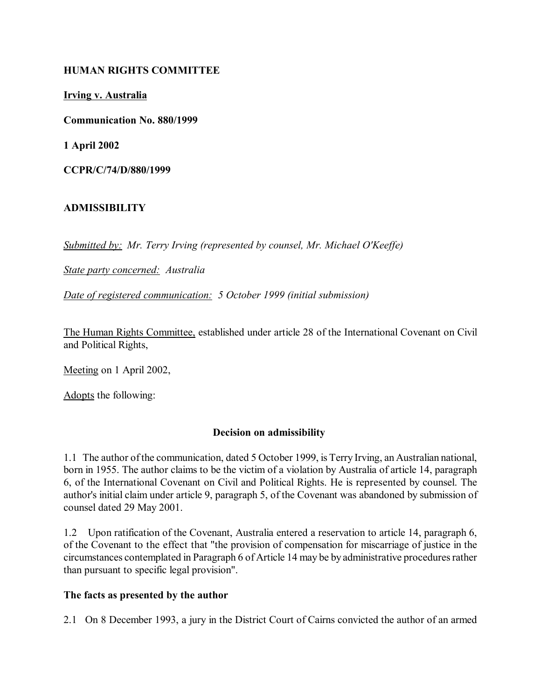#### **HUMAN RIGHTS COMMITTEE**

**Irving v. Australia**

**Communication No. 880/1999**

**1 April 2002**

**CCPR/C/74/D/880/1999**

# **ADMISSIBILITY**

*Submitted by: Mr. Terry Irving (represented by counsel, Mr. Michael O'Keeffe)*

*State party concerned: Australia*

*Date of registered communication: 5 October 1999 (initial submission)*

The Human Rights Committee, established under article 28 of the International Covenant on Civil and Political Rights,

Meeting on 1 April 2002,

Adopts the following:

# **Decision on admissibility**

1.1 The author of the communication, dated 5 October 1999, is Terry Irving, an Australian national, born in 1955. The author claims to be the victim of a violation by Australia of article 14, paragraph 6, of the International Covenant on Civil and Political Rights. He is represented by counsel. The author's initial claim under article 9, paragraph 5, of the Covenant was abandoned by submission of counsel dated 29 May 2001.

1.2 Upon ratification of the Covenant, Australia entered a reservation to article 14, paragraph 6, of the Covenant to the effect that "the provision of compensation for miscarriage of justice in the circumstances contemplated in Paragraph 6 of Article 14 may be by administrative procedures rather than pursuant to specific legal provision".

#### **The facts as presented by the author**

2.1 On 8 December 1993, a jury in the District Court of Cairns convicted the author of an armed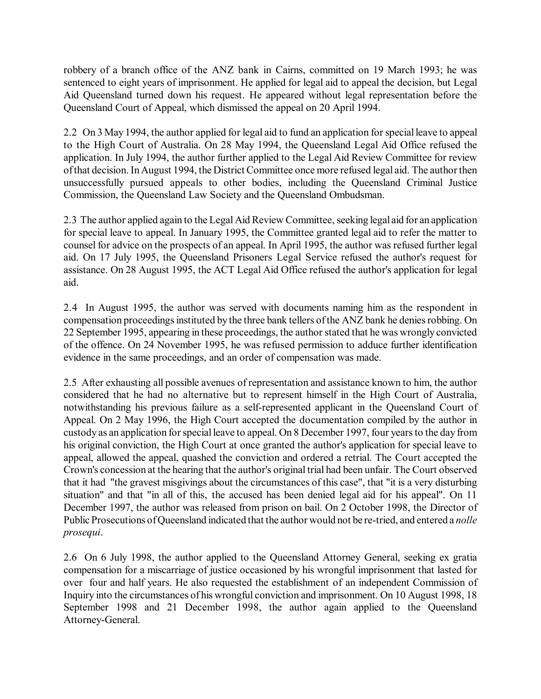robbery of a branch office of the ANZ bank in Cairns, committed on 19 March 1993; he was sentenced to eight years of imprisonment. He applied for legal aid to appeal the decision, but Legal Aid Queensland turned down his request. He appeared without legal representation before the Queensland Court of Appeal, which dismissed the appeal on 20 April 1994.

2.2 On 3 May 1994, the author applied for legal aid to fund an application for special leave to appeal to the High Court of Australia. On 28 May 1994, the Queensland Legal Aid Office refused the application. In July 1994, the author further applied to the Legal Aid Review Committee for review of that decision. In August 1994, the District Committee once more refused legal aid. The author then unsuccessfully pursued appeals to other bodies, including the Queensland Criminal Justice Commission, the Queensland Law Society and the Queensland Ombudsman.

2.3 The author applied again to the Legal Aid Review Committee, seeking legal aid for an application for special leave to appeal. In January 1995, the Committee granted legal aid to refer the matter to counsel for advice on the prospects of an appeal. In April 1995, the author was refused further legal aid. On 17 July 1995, the Queensland Prisoners Legal Service refused the author's request for assistance. On 28 August 1995, the ACT Legal Aid Office refused the author's application for legal aid.

2.4 In August 1995, the author was served with documents naming him as the respondent in compensation proceedings instituted by the three bank tellers of the ANZ bank he denies robbing. On 22 September 1995, appearing in these proceedings, the author stated that he was wrongly convicted of the offence. On 24 November 1995, he was refused permission to adduce further identification evidence in the same proceedings, and an order of compensation was made.

2.5 After exhausting all possible avenues of representation and assistance known to him, the author considered that he had no alternative but to represent himself in the High Court of Australia, notwithstanding his previous failure as a self-represented applicant in the Queensland Court of Appeal. On 2 May 1996, the High Court accepted the documentation compiled by the author in custody as an application for special leave to appeal. On 8 December 1997, four years to the day from his original conviction, the High Court at once granted the author's application for special leave to appeal, allowed the appeal, quashed the conviction and ordered a retrial. The Court accepted the Crown's concession at the hearing that the author's original trial had been unfair. The Court observed that it had "the gravest misgivings about the circumstances of this case", that "it is a very disturbing situation" and that "in all of this, the accused has been denied legal aid for his appeal". On 11 December 1997, the author was released from prison on bail. On 2 October 1998, the Director of Public Prosecutions of Queensland indicated that the author would not be re-tried, and entered a *nolle prosequi*.

2.6 On 6 July 1998, the author applied to the Queensland Attorney General, seeking ex gratia compensation for a miscarriage of justice occasioned by his wrongful imprisonment that lasted for over four and half years. He also requested the establishment of an independent Commission of Inquiry into the circumstances of his wrongful conviction and imprisonment. On 10 August 1998, 18 September 1998 and 21 December 1998, the author again applied to the Queensland Attorney-General.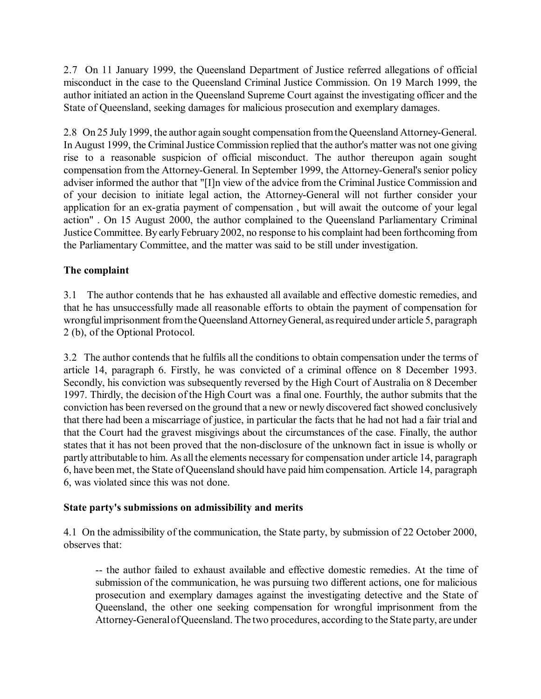2.7 On 11 January 1999, the Queensland Department of Justice referred allegations of official misconduct in the case to the Queensland Criminal Justice Commission. On 19 March 1999, the author initiated an action in the Queensland Supreme Court against the investigating officer and the State of Queensland, seeking damages for malicious prosecution and exemplary damages.

2.8 On 25 July 1999, the author again sought compensation from the Queensland Attorney-General. In August 1999, the Criminal Justice Commission replied that the author's matter was not one giving rise to a reasonable suspicion of official misconduct. The author thereupon again sought compensation from the Attorney-General. In September 1999, the Attorney-General's senior policy adviser informed the author that "[I]n view of the advice from the Criminal Justice Commission and of your decision to initiate legal action, the Attorney-General will not further consider your application for an ex-gratia payment of compensation , but will await the outcome of your legal action" . On 15 August 2000, the author complained to the Queensland Parliamentary Criminal Justice Committee. By early February 2002, no response to his complaint had been forthcoming from the Parliamentary Committee, and the matter was said to be still under investigation.

### **The complaint**

3.1 The author contends that he has exhausted all available and effective domestic remedies, and that he has unsuccessfully made all reasonable efforts to obtain the payment of compensation for wrongful imprisonment from the Queensland Attorney General, as required under article 5, paragraph 2 (b), of the Optional Protocol.

3.2 The author contends that he fulfils all the conditions to obtain compensation under the terms of article 14, paragraph 6. Firstly, he was convicted of a criminal offence on 8 December 1993. Secondly, his conviction was subsequently reversed by the High Court of Australia on 8 December 1997. Thirdly, the decision of the High Court was a final one. Fourthly, the author submits that the conviction has been reversed on the ground that a new or newly discovered fact showed conclusively that there had been a miscarriage of justice, in particular the facts that he had not had a fair trial and that the Court had the gravest misgivings about the circumstances of the case. Finally, the author states that it has not been proved that the non-disclosure of the unknown fact in issue is wholly or partly attributable to him. As all the elements necessary for compensation under article 14, paragraph 6, have been met, the State of Queensland should have paid him compensation. Article 14, paragraph 6, was violated since this was not done.

#### **State party's submissions on admissibility and merits**

4.1 On the admissibility of the communication, the State party, by submission of 22 October 2000, observes that:

-- the author failed to exhaust available and effective domestic remedies. At the time of submission of the communication, he was pursuing two different actions, one for malicious prosecution and exemplary damages against the investigating detective and the State of Queensland, the other one seeking compensation for wrongful imprisonment from the Attorney-General of Queensland. The two procedures, according to the State party, are under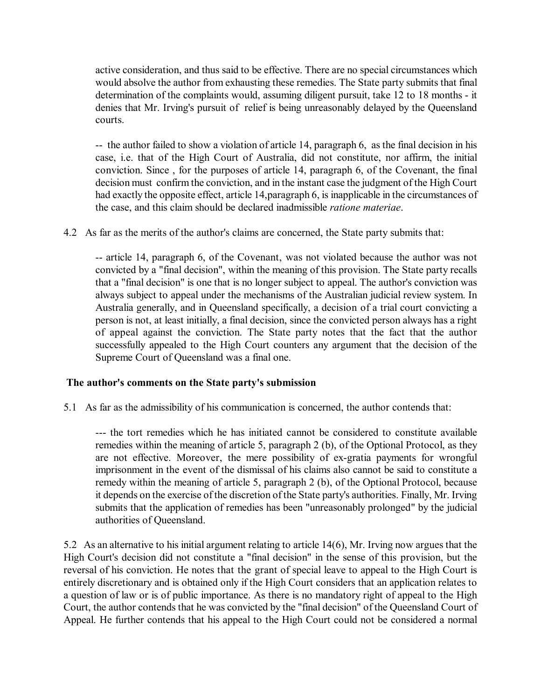active consideration, and thus said to be effective. There are no special circumstances which would absolve the author from exhausting these remedies. The State party submits that final determination of the complaints would, assuming diligent pursuit, take 12 to 18 months - it denies that Mr. Irving's pursuit of relief is being unreasonably delayed by the Queensland courts.

-- the author failed to show a violation of article 14, paragraph 6, as the final decision in his case, i.e. that of the High Court of Australia, did not constitute, nor affirm, the initial conviction. Since , for the purposes of article 14, paragraph 6, of the Covenant, the final decision must confirm the conviction, and in the instant case the judgment of the High Court had exactly the opposite effect, article 14,paragraph 6, is inapplicable in the circumstances of the case, and this claim should be declared inadmissible *ratione materiae*.

4.2 As far as the merits of the author's claims are concerned, the State party submits that:

-- article 14, paragraph 6, of the Covenant, was not violated because the author was not convicted by a "final decision", within the meaning of this provision. The State party recalls that a "final decision" is one that is no longer subject to appeal. The author's conviction was always subject to appeal under the mechanisms of the Australian judicial review system. In Australia generally, and in Queensland specifically, a decision of a trial court convicting a person is not, at least initially, a final decision, since the convicted person always has a right of appeal against the conviction. The State party notes that the fact that the author successfully appealed to the High Court counters any argument that the decision of the Supreme Court of Queensland was a final one.

#### **The author's comments on the State party's submission**

5.1 As far as the admissibility of his communication is concerned, the author contends that:

--- the tort remedies which he has initiated cannot be considered to constitute available remedies within the meaning of article 5, paragraph 2 (b), of the Optional Protocol, as they are not effective. Moreover, the mere possibility of ex-gratia payments for wrongful imprisonment in the event of the dismissal of his claims also cannot be said to constitute a remedy within the meaning of article 5, paragraph 2 (b), of the Optional Protocol, because it depends on the exercise of the discretion of the State party's authorities. Finally, Mr. Irving submits that the application of remedies has been "unreasonably prolonged" by the judicial authorities of Queensland.

5.2 As an alternative to his initial argument relating to article 14(6), Mr. Irving now argues that the High Court's decision did not constitute a "final decision" in the sense of this provision, but the reversal of his conviction. He notes that the grant of special leave to appeal to the High Court is entirely discretionary and is obtained only if the High Court considers that an application relates to a question of law or is of public importance. As there is no mandatory right of appeal to the High Court, the author contends that he was convicted by the "final decision" of the Queensland Court of Appeal. He further contends that his appeal to the High Court could not be considered a normal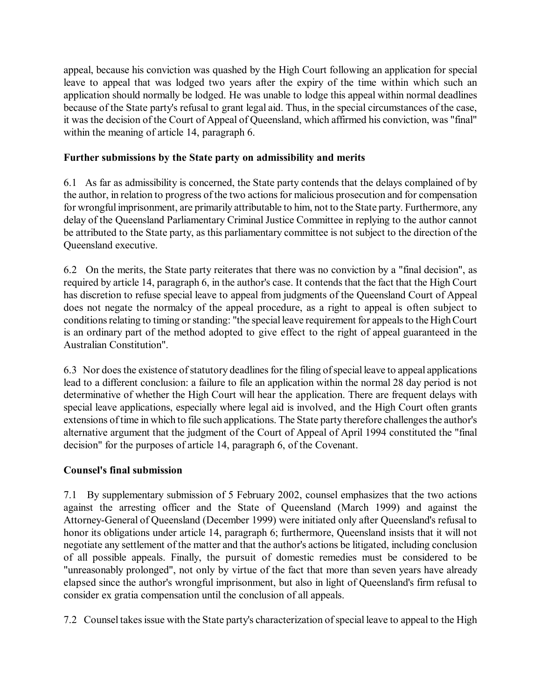appeal, because his conviction was quashed by the High Court following an application for special leave to appeal that was lodged two years after the expiry of the time within which such an application should normally be lodged. He was unable to lodge this appeal within normal deadlines because of the State party's refusal to grant legal aid. Thus, in the special circumstances of the case, it was the decision of the Court of Appeal of Queensland, which affirmed his conviction, was "final" within the meaning of article 14, paragraph 6.

### **Further submissions by the State party on admissibility and merits**

6.1 As far as admissibility is concerned, the State party contends that the delays complained of by the author, in relation to progress of the two actions for malicious prosecution and for compensation for wrongful imprisonment, are primarily attributable to him, not to the State party. Furthermore, any delay of the Queensland Parliamentary Criminal Justice Committee in replying to the author cannot be attributed to the State party, as this parliamentary committee is not subject to the direction of the Queensland executive.

6.2 On the merits, the State party reiterates that there was no conviction by a "final decision", as required by article 14, paragraph 6, in the author's case. It contends that the fact that the High Court has discretion to refuse special leave to appeal from judgments of the Queensland Court of Appeal does not negate the normalcy of the appeal procedure, as a right to appeal is often subject to conditions relating to timing or standing: "the special leave requirement for appeals to the High Court is an ordinary part of the method adopted to give effect to the right of appeal guaranteed in the Australian Constitution".

6.3 Nor does the existence of statutory deadlines for the filing of special leave to appeal applications lead to a different conclusion: a failure to file an application within the normal 28 day period is not determinative of whether the High Court will hear the application. There are frequent delays with special leave applications, especially where legal aid is involved, and the High Court often grants extensions of time in which to file such applications. The State party therefore challenges the author's alternative argument that the judgment of the Court of Appeal of April 1994 constituted the "final decision" for the purposes of article 14, paragraph 6, of the Covenant.

# **Counsel's final submission**

7.1 By supplementary submission of 5 February 2002, counsel emphasizes that the two actions against the arresting officer and the State of Queensland (March 1999) and against the Attorney-General of Queensland (December 1999) were initiated only after Queensland's refusal to honor its obligations under article 14, paragraph 6; furthermore, Queensland insists that it will not negotiate any settlement of the matter and that the author's actions be litigated, including conclusion of all possible appeals. Finally, the pursuit of domestic remedies must be considered to be "unreasonably prolonged", not only by virtue of the fact that more than seven years have already elapsed since the author's wrongful imprisonment, but also in light of Queensland's firm refusal to consider ex gratia compensation until the conclusion of all appeals.

7.2 Counsel takes issue with the State party's characterization of special leave to appeal to the High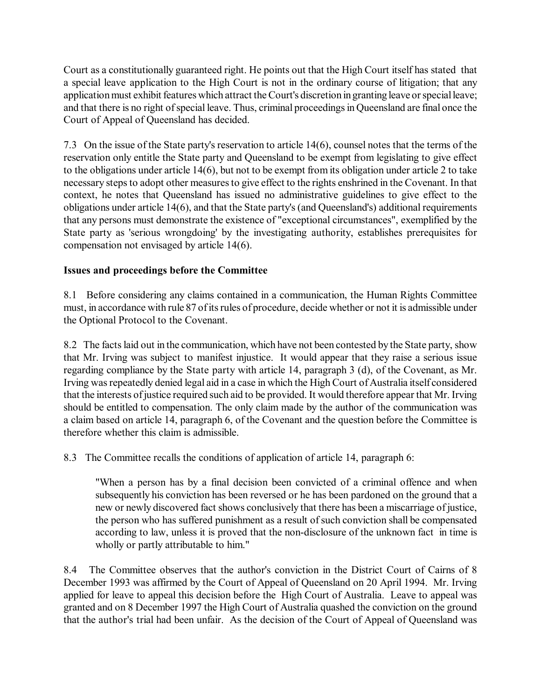Court as a constitutionally guaranteed right. He points out that the High Court itself has stated that a special leave application to the High Court is not in the ordinary course of litigation; that any application must exhibit features which attract the Court's discretion in granting leave or special leave; and that there is no right of special leave. Thus, criminal proceedings in Queensland are final once the Court of Appeal of Queensland has decided.

7.3 On the issue of the State party's reservation to article 14(6), counsel notes that the terms of the reservation only entitle the State party and Queensland to be exempt from legislating to give effect to the obligations under article 14(6), but not to be exempt from its obligation under article 2 to take necessary steps to adopt other measures to give effect to the rights enshrined in the Covenant. In that context, he notes that Queensland has issued no administrative guidelines to give effect to the obligations under article 14(6), and that the State party's (and Queensland's) additional requirements that any persons must demonstrate the existence of "exceptional circumstances", exemplified by the State party as 'serious wrongdoing' by the investigating authority, establishes prerequisites for compensation not envisaged by article 14(6).

### **Issues and proceedings before the Committee**

8.1 Before considering any claims contained in a communication, the Human Rights Committee must, in accordance with rule 87 of its rules of procedure, decide whether or not it is admissible under the Optional Protocol to the Covenant.

8.2 The facts laid out in the communication, which have not been contested by the State party, show that Mr. Irving was subject to manifest injustice. It would appear that they raise a serious issue regarding compliance by the State party with article 14, paragraph 3 (d), of the Covenant, as Mr. Irving was repeatedly denied legal aid in a case in which the High Court of Australia itself considered that the interests of justice required such aid to be provided. It would therefore appear that Mr. Irving should be entitled to compensation. The only claim made by the author of the communication was a claim based on article 14, paragraph 6, of the Covenant and the question before the Committee is therefore whether this claim is admissible.

8.3 The Committee recalls the conditions of application of article 14, paragraph 6:

"When a person has by a final decision been convicted of a criminal offence and when subsequently his conviction has been reversed or he has been pardoned on the ground that a new or newly discovered fact shows conclusively that there has been a miscarriage of justice, the person who has suffered punishment as a result of such conviction shall be compensated according to law, unless it is proved that the non-disclosure of the unknown fact in time is wholly or partly attributable to him."

8.4 The Committee observes that the author's conviction in the District Court of Cairns of 8 December 1993 was affirmed by the Court of Appeal of Queensland on 20 April 1994. Mr. Irving applied for leave to appeal this decision before the High Court of Australia. Leave to appeal was granted and on 8 December 1997 the High Court of Australia quashed the conviction on the ground that the author's trial had been unfair. As the decision of the Court of Appeal of Queensland was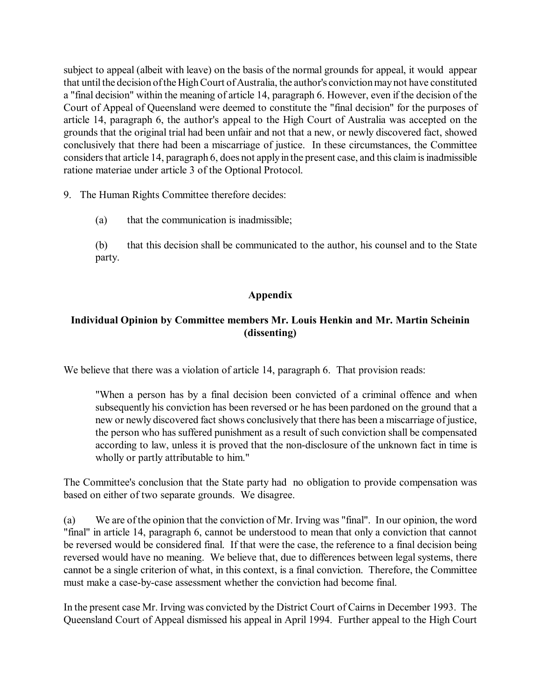subject to appeal (albeit with leave) on the basis of the normal grounds for appeal, it would appear that until the decision of the High Court of Australia, the author's conviction may not have constituted a "final decision" within the meaning of article 14, paragraph 6. However, even if the decision of the Court of Appeal of Queensland were deemed to constitute the "final decision" for the purposes of article 14, paragraph 6, the author's appeal to the High Court of Australia was accepted on the grounds that the original trial had been unfair and not that a new, or newly discovered fact, showed conclusively that there had been a miscarriage of justice. In these circumstances, the Committee considers that article 14, paragraph 6, does not apply in the present case, and this claim is inadmissible ratione materiae under article 3 of the Optional Protocol.

- 9. The Human Rights Committee therefore decides:
	- (a) that the communication is inadmissible;
	- (b) that this decision shall be communicated to the author, his counsel and to the State party.

# **Appendix**

### **Individual Opinion by Committee members Mr. Louis Henkin and Mr. Martin Scheinin (dissenting)**

We believe that there was a violation of article 14, paragraph 6. That provision reads:

"When a person has by a final decision been convicted of a criminal offence and when subsequently his conviction has been reversed or he has been pardoned on the ground that a new or newly discovered fact shows conclusively that there has been a miscarriage of justice, the person who has suffered punishment as a result of such conviction shall be compensated according to law, unless it is proved that the non-disclosure of the unknown fact in time is wholly or partly attributable to him."

The Committee's conclusion that the State party had no obligation to provide compensation was based on either of two separate grounds. We disagree.

(a) We are of the opinion that the conviction of Mr. Irving was "final". In our opinion, the word "final" in article 14, paragraph 6, cannot be understood to mean that only a conviction that cannot be reversed would be considered final. If that were the case, the reference to a final decision being reversed would have no meaning. We believe that, due to differences between legal systems, there cannot be a single criterion of what, in this context, is a final conviction. Therefore, the Committee must make a case-by-case assessment whether the conviction had become final.

In the present case Mr. Irving was convicted by the District Court of Cairns in December 1993. The Queensland Court of Appeal dismissed his appeal in April 1994. Further appeal to the High Court